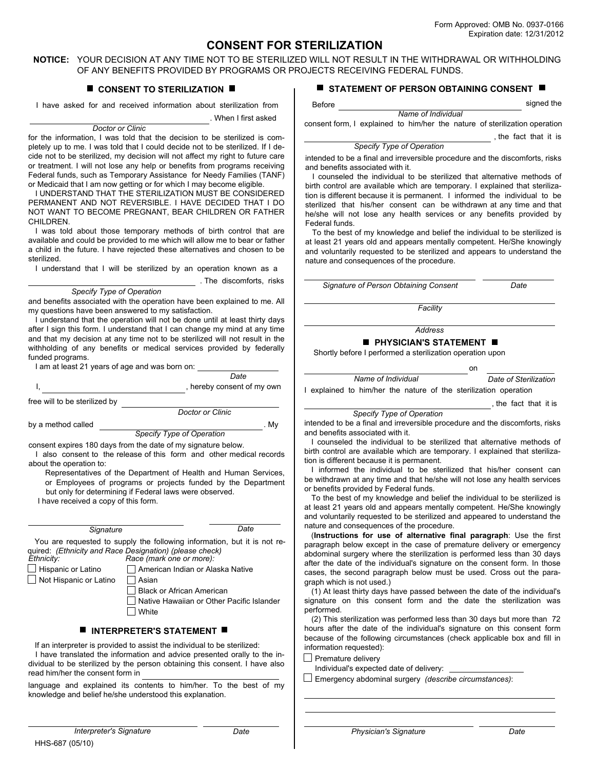# **CONSENT FOR STERILIZATION**

**NOTICE:** YOUR DECISION AT ANY TIME NOT TO BE STERILIZED WILL NOT RESULT IN THE WITHDRAWAL OR WITHHOLDING OF ANY BENEFITS PROVIDED BY PROGRAMS OR PROJECTS RECEIVING FEDERAL FUNDS.

Before

### **CONSENT TO STERILIZATION**  $\blacksquare$

I have asked for and received information about sterilization from . When I first asked

*Doctor or Clinic*

for the information, I was told that the decision to be sterilized is completely up to me. I was told that I could decide not to be sterilized. If I decide not to be sterilized, my decision will not affect my right to future care or treatment. I will not lose any help or benefits from programs receiving Federal funds, such as Temporary Assistance for Needy Families (TANF) or Medicaid that I am now getting or for which I may become eligible.

I UNDERSTAND THAT THE STERILIZATION MUST BE CONSIDERED PERMANENT AND NOT REVERSIBLE. I HAVE DECIDED THAT I DO NOT WANT TO BECOME PREGNANT, BEAR CHILDREN OR FATHER CHILDREN.

I was told about those temporary methods of birth control that are available and could be provided to me which will allow me to bear or father a child in the future. I have rejected these alternatives and chosen to be sterilized.

I understand that I will be sterilized by an operation known as a

. The discomforts, risks

#### *Specify Type of Operation*

and benefits associated with the operation have been explained to me. All my questions have been answered to my satisfaction.

I understand that the operation will not be done until at least thirty days after I sign this form. I understand that I can change my mind at any time and that my decision at any time not to be sterilized will not result in the withholding of any benefits or medical services provided by federally funded programs.

| I am at least 21 years of age and was born on: |                            |
|------------------------------------------------|----------------------------|
|                                                | Date                       |
|                                                | , hereby consent of my own |

free will to be sterilized by

*Doctor or Clinic*

by a method called . My

consent expires 180 days from the date of my signature below. *Specify Type of Operation*

I also consent to the release of this form and other medical records about the operation to:

Representatives of the Department of Health and Human Services, or Employees of programs or projects funded by the Department but only for determining if Federal laws were observed. I have received a copy of this form.

*Ethnicity:*  $\Box$  Hispanic or Latino Not Hispanic or Latino *Race (mark one or more):*  American Indian or Alaska Native  $\Box$  Asian Black or African American Native Hawaiian or Other Pacific Islander  $\Box$  White *Signature Date* You are requested to supply the following information, but it is not required: *(Ethnicity and Race Designation) (please check)*

## **INTERPRETER'S STATEMENT III**

 If an interpreter is provided to assist the individual to be sterilized: I have translated the information and advice presented orally to the individual to be sterilized by the person obtaining this consent. I have also read him/her the consent form in

language and explained its contents to him/her. To the best of my knowledge and belief he/she understood this explanation.

#### **STATEMENT OF PERSON OBTAINING CONSENT**

signed the

*Name of Individual* consent form, I explained to him/her the nature of sterilization operation

, the fact that it is

#### *Specify Type of Operation*

intended to be a final and irreversible procedure and the discomforts, risks and benefits associated with it.

I counseled the individual to be sterilized that alternative methods of birth control are available which are temporary. I explained that sterilization is different because it is permanent. I informed the individual to be sterilized that his/her consent can be withdrawn at any time and that he/she will not lose any health services or any benefits provided by Federal funds.

To the best of my knowledge and belief the individual to be sterilized is at least 21 years old and appears mentally competent. He/She knowingly and voluntarily requested to be sterilized and appears to understand the nature and consequences of the procedure.

*Signature of Person Obtaining Consent Date*

*Facility*

*Address*

# **PHYSICIAN'S STATEMENT**

Shortly before I performed a sterilization operation upon

| nn |                       |
|----|-----------------------|
|    | Date of Sterilization |

I explained to him/her the nature of the sterilization operation

, the fact that it is

|  |  | Specify Type of Operation |
|--|--|---------------------------|
|--|--|---------------------------|

*Name of Individual*

intended to be a final and irreversible procedure and the discomforts, risks and benefits associated with it.

I counseled the individual to be sterilized that alternative methods of birth control are available which are temporary. I explained that sterilization is different because it is permanent.

I informed the individual to be sterilized that his/her consent can be withdrawn at any time and that he/she will not lose any health services or benefits provided by Federal funds.

To the best of my knowledge and belief the individual to be sterilized is at least 21 years old and appears mentally competent. He/She knowingly and voluntarily requested to be sterilized and appeared to understand the nature and consequences of the procedure.

(**Instructions for use of alternative final paragraph**: Use the first paragraph below except in the case of premature delivery or emergency abdominal surgery where the sterilization is performed less than 30 days after the date of the individual's signature on the consent form. In those cases, the second paragraph below must be used. Cross out the paragraph which is not used.)

(1) At least thirty days have passed between the date of the individual's signature on this consent form and the date the sterilization was performed.

(2) This sterilization was performed less than 30 days but more than 72 hours after the date of the individual's signature on this consent form because of the following circumstances (check applicable box and fill in information requested):

 $\Box$  Premature delivery

Individual's expected date of delivery:

Emergency abdominal surgery *(describe circumstances)*: